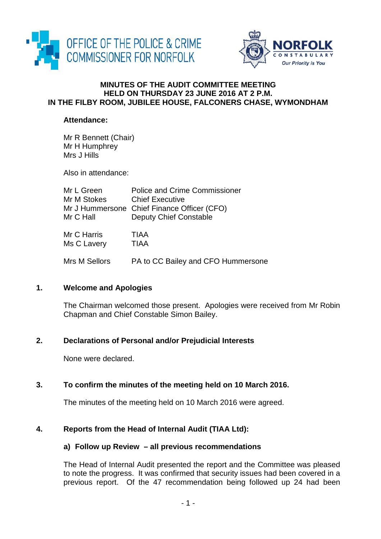



#### **MINUTES OF THE AUDIT COMMITTEE MEETING HELD ON THURSDAY 23 JUNE 2016 AT 2 P.M. IN THE FILBY ROOM, JUBILEE HOUSE, FALCONERS CHASE, WYMONDHAM**

#### **Attendance:**

Mr R Bennett (Chair) Mr H Humphrey Mrs J Hills

Also in attendance:

| Mr L Green    | <b>Police and Crime Commissioner</b>        |
|---------------|---------------------------------------------|
| Mr M Stokes   | <b>Chief Executive</b>                      |
|               | Mr J Hummersone Chief Finance Officer (CFO) |
| Mr C Hall     | Deputy Chief Constable                      |
| Mr C Harris   | <b>TIAA</b>                                 |
| Ms C Lavery   | <b>TIAA</b>                                 |
| Mrs M Sellors | PA to CC Bailey and CFO Hummersone          |

#### **1. Welcome and Apologies**

The Chairman welcomed those present. Apologies were received from Mr Robin Chapman and Chief Constable Simon Bailey.

# **2. Declarations of Personal and/or Prejudicial Interests**

None were declared.

# **3. To confirm the minutes of the meeting held on 10 March 2016.**

The minutes of the meeting held on 10 March 2016 were agreed.

# **4. Reports from the Head of Internal Audit (TIAA Ltd):**

#### **a) Follow up Review – all previous recommendations**

The Head of Internal Audit presented the report and the Committee was pleased to note the progress. It was confirmed that security issues had been covered in a previous report. Of the 47 recommendation being followed up 24 had been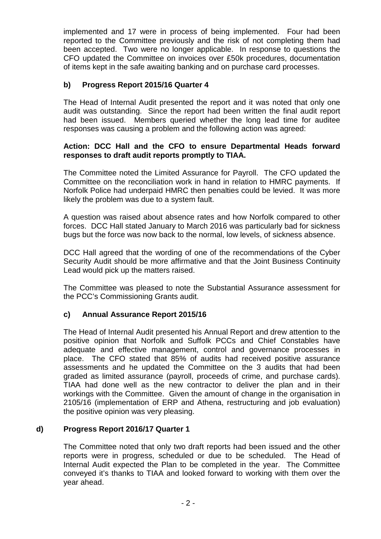implemented and 17 were in process of being implemented. Four had been reported to the Committee previously and the risk of not completing them had been accepted. Two were no longer applicable. In response to questions the CFO updated the Committee on invoices over £50k procedures, documentation of items kept in the safe awaiting banking and on purchase card processes.

# **b) Progress Report 2015/16 Quarter 4**

The Head of Internal Audit presented the report and it was noted that only one audit was outstanding. Since the report had been written the final audit report had been issued. Members queried whether the long lead time for auditee responses was causing a problem and the following action was agreed:

#### **Action: DCC Hall and the CFO to ensure Departmental Heads forward responses to draft audit reports promptly to TIAA.**

The Committee noted the Limited Assurance for Payroll. The CFO updated the Committee on the reconciliation work in hand in relation to HMRC payments. If Norfolk Police had underpaid HMRC then penalties could be levied. It was more likely the problem was due to a system fault.

A question was raised about absence rates and how Norfolk compared to other forces. DCC Hall stated January to March 2016 was particularly bad for sickness bugs but the force was now back to the normal, low levels, of sickness absence.

DCC Hall agreed that the wording of one of the recommendations of the Cyber Security Audit should be more affirmative and that the Joint Business Continuity Lead would pick up the matters raised.

The Committee was pleased to note the Substantial Assurance assessment for the PCC's Commissioning Grants audit.

# **c) Annual Assurance Report 2015/16**

The Head of Internal Audit presented his Annual Report and drew attention to the positive opinion that Norfolk and Suffolk PCCs and Chief Constables have adequate and effective management, control and governance processes in place. The CFO stated that 85% of audits had received positive assurance assessments and he updated the Committee on the 3 audits that had been graded as limited assurance (payroll, proceeds of crime, and purchase cards). TIAA had done well as the new contractor to deliver the plan and in their workings with the Committee. Given the amount of change in the organisation in 2105/16 (implementation of ERP and Athena, restructuring and job evaluation) the positive opinion was very pleasing.

#### **d) Progress Report 2016/17 Quarter 1**

The Committee noted that only two draft reports had been issued and the other reports were in progress, scheduled or due to be scheduled. The Head of Internal Audit expected the Plan to be completed in the year. The Committee conveyed it's thanks to TIAA and looked forward to working with them over the year ahead.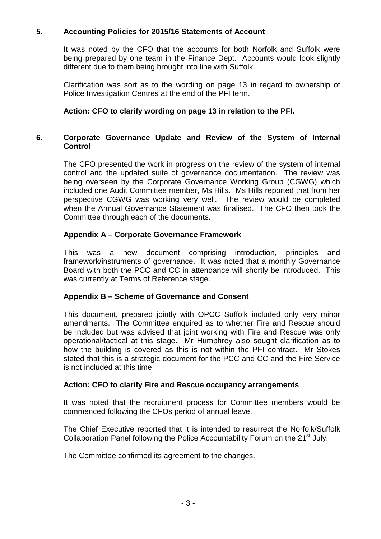# **5. Accounting Policies for 2015/16 Statements of Account**

It was noted by the CFO that the accounts for both Norfolk and Suffolk were being prepared by one team in the Finance Dept. Accounts would look slightly different due to them being brought into line with Suffolk.

Clarification was sort as to the wording on page 13 in regard to ownership of Police Investigation Centres at the end of the PFI term.

# **Action: CFO to clarify wording on page 13 in relation to the PFI.**

## **6. Corporate Governance Update and Review of the System of Internal Control**

The CFO presented the work in progress on the review of the system of internal control and the updated suite of governance documentation. The review was being overseen by the Corporate Governance Working Group (CGWG) which included one Audit Committee member, Ms Hills. Ms Hills reported that from her perspective CGWG was working very well. The review would be completed when the Annual Governance Statement was finalised. The CFO then took the Committee through each of the documents.

### **Appendix A – Corporate Governance Framework**

This was a new document comprising introduction, principles and framework/instruments of governance. It was noted that a monthly Governance Board with both the PCC and CC in attendance will shortly be introduced. This was currently at Terms of Reference stage.

#### **Appendix B – Scheme of Governance and Consent**

This document, prepared jointly with OPCC Suffolk included only very minor amendments. The Committee enquired as to whether Fire and Rescue should be included but was advised that joint working with Fire and Rescue was only operational/tactical at this stage. Mr Humphrey also sought clarification as to how the building is covered as this is not within the PFI contract. Mr Stokes stated that this is a strategic document for the PCC and CC and the Fire Service is not included at this time.

#### **Action: CFO to clarify Fire and Rescue occupancy arrangements**

It was noted that the recruitment process for Committee members would be commenced following the CFOs period of annual leave.

The Chief Executive reported that it is intended to resurrect the Norfolk/Suffolk Collaboration Panel following the Police Accountability Forum on the 21<sup>st</sup> July.

The Committee confirmed its agreement to the changes.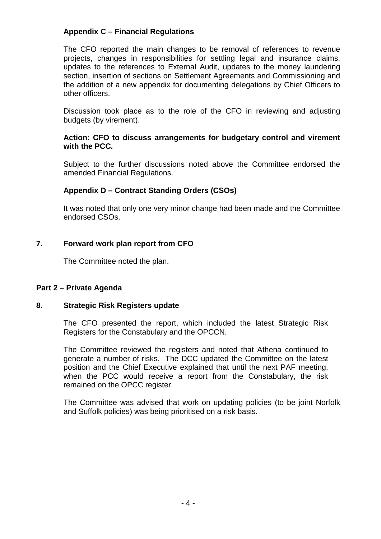## **Appendix C – Financial Regulations**

The CFO reported the main changes to be removal of references to revenue projects, changes in responsibilities for settling legal and insurance claims, updates to the references to External Audit, updates to the money laundering section, insertion of sections on Settlement Agreements and Commissioning and the addition of a new appendix for documenting delegations by Chief Officers to other officers.

Discussion took place as to the role of the CFO in reviewing and adjusting budgets (by virement).

#### **Action: CFO to discuss arrangements for budgetary control and virement with the PCC.**

Subject to the further discussions noted above the Committee endorsed the amended Financial Regulations.

### **Appendix D – Contract Standing Orders (CSOs)**

It was noted that only one very minor change had been made and the Committee endorsed CSOs.

### **7. Forward work plan report from CFO**

The Committee noted the plan.

#### **Part 2 – Private Agenda**

#### **8. Strategic Risk Registers update**

The CFO presented the report, which included the latest Strategic Risk Registers for the Constabulary and the OPCCN.

The Committee reviewed the registers and noted that Athena continued to generate a number of risks. The DCC updated the Committee on the latest position and the Chief Executive explained that until the next PAF meeting, when the PCC would receive a report from the Constabulary, the risk remained on the OPCC register.

The Committee was advised that work on updating policies (to be joint Norfolk and Suffolk policies) was being prioritised on a risk basis.